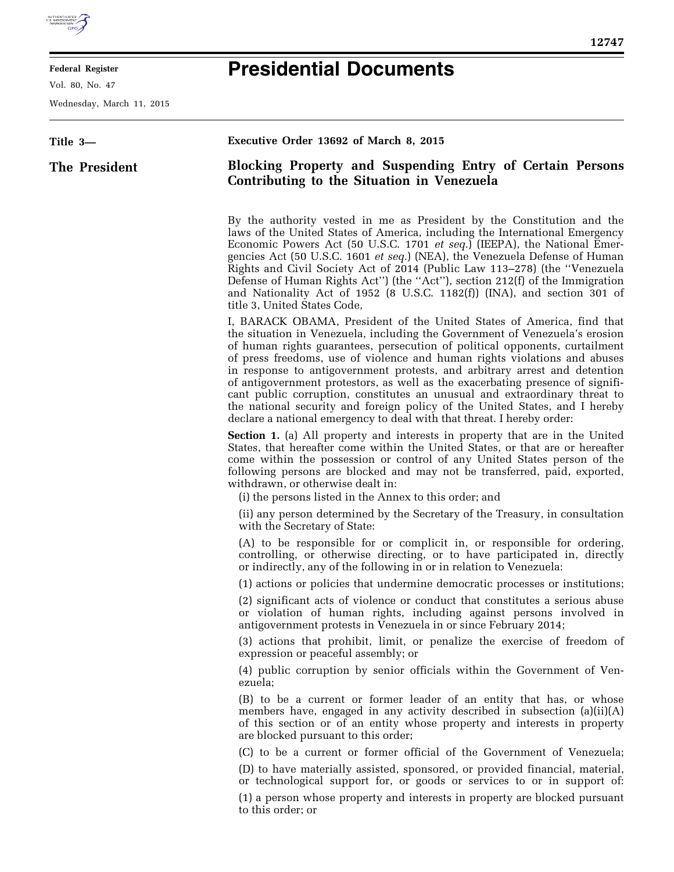

E

## **Federal Register**

Vol. 80, No. 47

Wednesday, March 11, 2015

## **Presidential Documents**

| Title 3-      | Executive Order 13692 of March 8, 2015                                                                                                                                                                                                                                                                                                                                                                                                                                                                                                                                                                                                                                                                                  |
|---------------|-------------------------------------------------------------------------------------------------------------------------------------------------------------------------------------------------------------------------------------------------------------------------------------------------------------------------------------------------------------------------------------------------------------------------------------------------------------------------------------------------------------------------------------------------------------------------------------------------------------------------------------------------------------------------------------------------------------------------|
| The President | <b>Blocking Property and Suspending Entry of Certain Persons</b><br>Contributing to the Situation in Venezuela                                                                                                                                                                                                                                                                                                                                                                                                                                                                                                                                                                                                          |
|               | By the authority vested in me as President by the Constitution and the<br>laws of the United States of America, including the International Emergency<br>Economic Powers Act (50 U.S.C. 1701 et seq.) (IEEPA), the National Emer-<br>gencies Act (50 U.S.C. 1601 <i>et seq.</i> ) (NEA), the Venezuela Defense of Human<br>Rights and Civil Society Act of 2014 (Public Law 113–278) (the "Venezuela<br>Defense of Human Rights Act") (the "Act"), section 212(f) of the Immigration<br>and Nationality Act of 1952 (8 U.S.C. 1182(f)) (INA), and section 301 of<br>title 3, United States Code,                                                                                                                        |
|               | I, BARACK OBAMA, President of the United States of America, find that<br>the situation in Venezuela, including the Government of Venezuela's erosion<br>of human rights guarantees, persecution of political opponents, curtailment<br>of press freedoms, use of violence and human rights violations and abuses<br>in response to antigovernment protests, and arbitrary arrest and detention<br>of antigovernment protestors, as well as the exacerbating presence of signifi-<br>cant public corruption, constitutes an unusual and extraordinary threat to<br>the national security and foreign policy of the United States, and I hereby<br>declare a national emergency to deal with that threat. I hereby order: |
|               | <b>Section 1.</b> (a) All property and interests in property that are in the United<br>States, that hereafter come within the United States, or that are or hereafter<br>come within the possession or control of any United States person of the<br>following persons are blocked and may not be transferred, paid, exported,<br>withdrawn, or otherwise dealt in:<br>(i) the persons listed in the Annex to this order; and                                                                                                                                                                                                                                                                                           |
|               | (ii) any person determined by the Secretary of the Treasury, in consultation<br>with the Secretary of State:                                                                                                                                                                                                                                                                                                                                                                                                                                                                                                                                                                                                            |
|               | (A) to be responsible for or complicit in, or responsible for ordering,<br>controlling, or otherwise directing, or to have participated in, directly<br>or indirectly, any of the following in or in relation to Venezuela:                                                                                                                                                                                                                                                                                                                                                                                                                                                                                             |
|               | (1) actions or policies that undermine democratic processes or institutions;                                                                                                                                                                                                                                                                                                                                                                                                                                                                                                                                                                                                                                            |
|               | (2) significant acts of violence or conduct that constitutes a serious abuse<br>or violation of human rights, including against persons involved in<br>antigovernment protests in Venezuela in or since February 2014;                                                                                                                                                                                                                                                                                                                                                                                                                                                                                                  |
|               | (3) actions that prohibit, limit, or penalize the exercise of freedom of<br>expression or peaceful assembly; or                                                                                                                                                                                                                                                                                                                                                                                                                                                                                                                                                                                                         |
|               | (4) public corruption by senior officials within the Government of Ven-<br>ezuela;                                                                                                                                                                                                                                                                                                                                                                                                                                                                                                                                                                                                                                      |
|               | (B) to be a current or former leader of an entity that has, or whose<br>members have, engaged in any activity described in subsection (a)(ii)(A)<br>of this section or of an entity whose property and interests in property<br>are blocked pursuant to this order;                                                                                                                                                                                                                                                                                                                                                                                                                                                     |
|               | (C) to be a current or former official of the Government of Venezuela;                                                                                                                                                                                                                                                                                                                                                                                                                                                                                                                                                                                                                                                  |
|               | (D) to have materially assisted, sponsored, or provided financial, material,<br>or technological support for, or goods or services to or in support of:                                                                                                                                                                                                                                                                                                                                                                                                                                                                                                                                                                 |
|               | (1) a person whose property and interests in property are blocked pursuant<br>to this order; or                                                                                                                                                                                                                                                                                                                                                                                                                                                                                                                                                                                                                         |
|               |                                                                                                                                                                                                                                                                                                                                                                                                                                                                                                                                                                                                                                                                                                                         |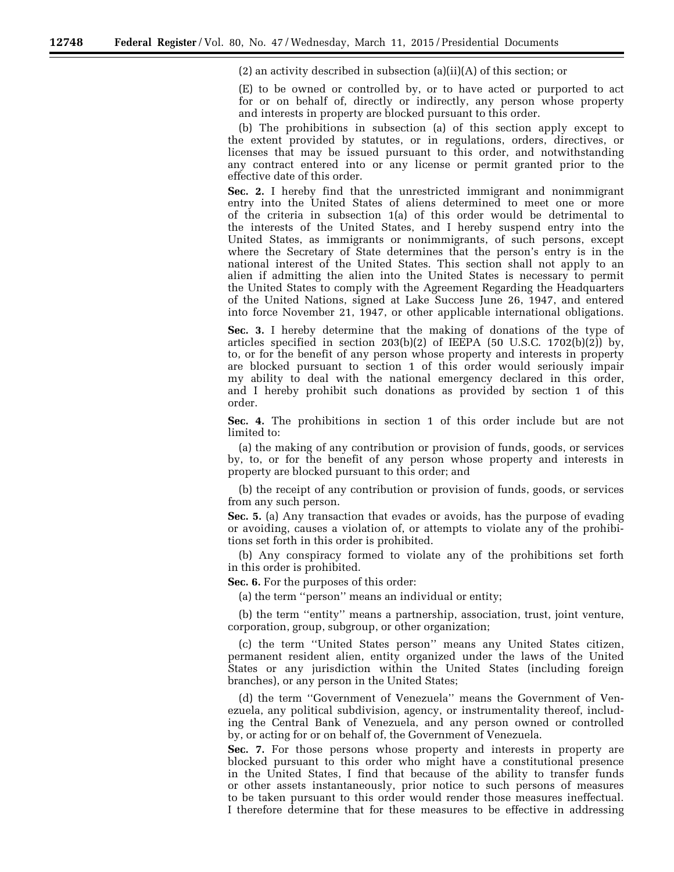(2) an activity described in subsection (a)(ii)(A) of this section; or

(E) to be owned or controlled by, or to have acted or purported to act for or on behalf of, directly or indirectly, any person whose property and interests in property are blocked pursuant to this order.

(b) The prohibitions in subsection (a) of this section apply except to the extent provided by statutes, or in regulations, orders, directives, or licenses that may be issued pursuant to this order, and notwithstanding any contract entered into or any license or permit granted prior to the effective date of this order.

**Sec. 2.** I hereby find that the unrestricted immigrant and nonimmigrant entry into the United States of aliens determined to meet one or more of the criteria in subsection 1(a) of this order would be detrimental to the interests of the United States, and I hereby suspend entry into the United States, as immigrants or nonimmigrants, of such persons, except where the Secretary of State determines that the person's entry is in the national interest of the United States. This section shall not apply to an alien if admitting the alien into the United States is necessary to permit the United States to comply with the Agreement Regarding the Headquarters of the United Nations, signed at Lake Success June 26, 1947, and entered into force November 21, 1947, or other applicable international obligations.

**Sec. 3.** I hereby determine that the making of donations of the type of articles specified in section 203(b)(2) of IEEPA (50 U.S.C. 1702(b)(2)) by, to, or for the benefit of any person whose property and interests in property are blocked pursuant to section 1 of this order would seriously impair my ability to deal with the national emergency declared in this order, and I hereby prohibit such donations as provided by section 1 of this order.

**Sec. 4.** The prohibitions in section 1 of this order include but are not limited to:

(a) the making of any contribution or provision of funds, goods, or services by, to, or for the benefit of any person whose property and interests in property are blocked pursuant to this order; and

(b) the receipt of any contribution or provision of funds, goods, or services from any such person.

**Sec. 5.** (a) Any transaction that evades or avoids, has the purpose of evading or avoiding, causes a violation of, or attempts to violate any of the prohibitions set forth in this order is prohibited.

(b) Any conspiracy formed to violate any of the prohibitions set forth in this order is prohibited.

**Sec. 6.** For the purposes of this order:

(a) the term ''person'' means an individual or entity;

(b) the term ''entity'' means a partnership, association, trust, joint venture, corporation, group, subgroup, or other organization;

(c) the term ''United States person'' means any United States citizen, permanent resident alien, entity organized under the laws of the United States or any jurisdiction within the United States (including foreign branches), or any person in the United States;

(d) the term ''Government of Venezuela'' means the Government of Venezuela, any political subdivision, agency, or instrumentality thereof, including the Central Bank of Venezuela, and any person owned or controlled by, or acting for or on behalf of, the Government of Venezuela.

**Sec. 7.** For those persons whose property and interests in property are blocked pursuant to this order who might have a constitutional presence in the United States, I find that because of the ability to transfer funds or other assets instantaneously, prior notice to such persons of measures to be taken pursuant to this order would render those measures ineffectual. I therefore determine that for these measures to be effective in addressing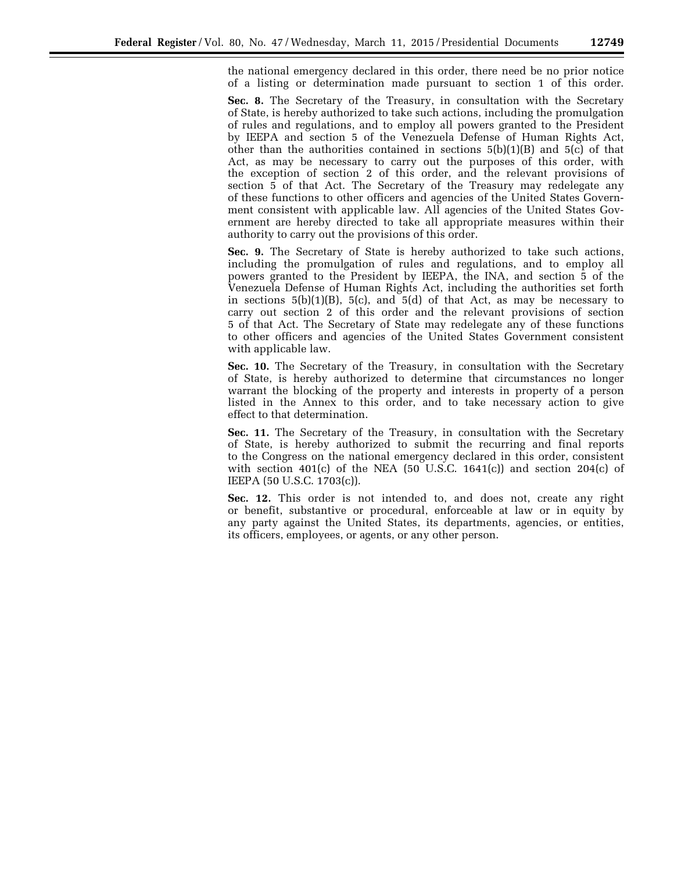the national emergency declared in this order, there need be no prior notice of a listing or determination made pursuant to section 1 of this order.

**Sec. 8.** The Secretary of the Treasury, in consultation with the Secretary of State, is hereby authorized to take such actions, including the promulgation of rules and regulations, and to employ all powers granted to the President by IEEPA and section 5 of the Venezuela Defense of Human Rights Act, other than the authorities contained in sections  $5(b)(1)(B)$  and  $5(c)$  of that Act, as may be necessary to carry out the purposes of this order, with the exception of section 2 of this order, and the relevant provisions of section 5 of that Act. The Secretary of the Treasury may redelegate any of these functions to other officers and agencies of the United States Government consistent with applicable law. All agencies of the United States Government are hereby directed to take all appropriate measures within their authority to carry out the provisions of this order.

**Sec. 9.** The Secretary of State is hereby authorized to take such actions, including the promulgation of rules and regulations, and to employ all powers granted to the President by IEEPA, the INA, and section 5 of the Venezuela Defense of Human Rights Act, including the authorities set forth in sections  $5(b)(1)(B)$ ,  $5(c)$ , and  $5(d)$  of that Act, as may be necessary to carry out section 2 of this order and the relevant provisions of section 5 of that Act. The Secretary of State may redelegate any of these functions to other officers and agencies of the United States Government consistent with applicable law.

**Sec. 10.** The Secretary of the Treasury, in consultation with the Secretary of State, is hereby authorized to determine that circumstances no longer warrant the blocking of the property and interests in property of a person listed in the Annex to this order, and to take necessary action to give effect to that determination.

**Sec. 11.** The Secretary of the Treasury, in consultation with the Secretary of State, is hereby authorized to submit the recurring and final reports to the Congress on the national emergency declared in this order, consistent with section  $401(c)$  of the NEA (50 U.S.C. 1641(c)) and section 204(c) of IEEPA (50 U.S.C. 1703(c)).

**Sec. 12.** This order is not intended to, and does not, create any right or benefit, substantive or procedural, enforceable at law or in equity by any party against the United States, its departments, agencies, or entities, its officers, employees, or agents, or any other person.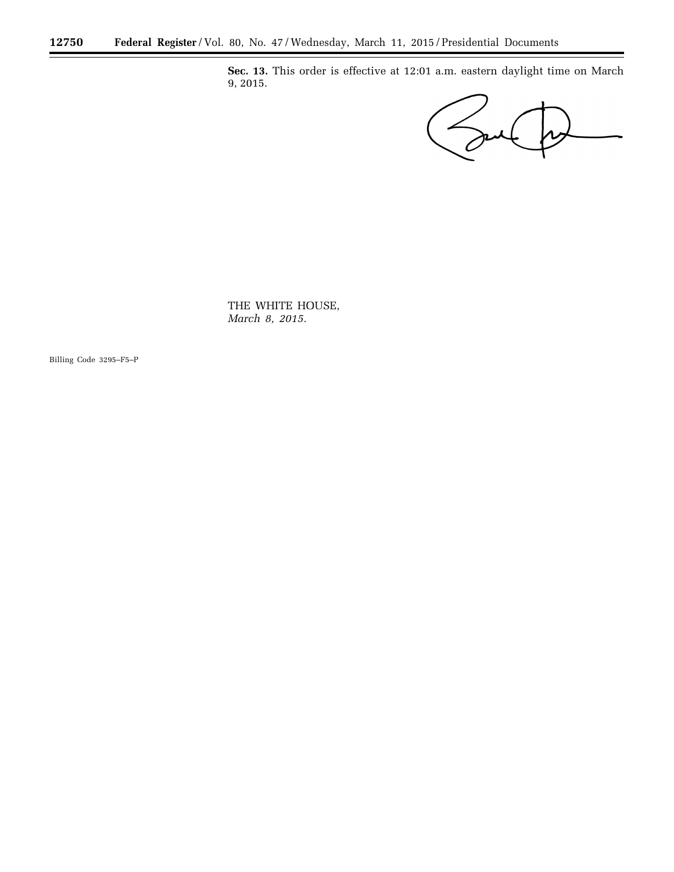**Sec. 13.** This order is effective at 12:01 a.m. eastern daylight time on March 9, 2015.

 $\overline{\mathbf{r}}$ 

 $\equiv$ 

THE WHITE HOUSE, *March 8, 2015.* 

Billing Code 3295–F5–P

۳